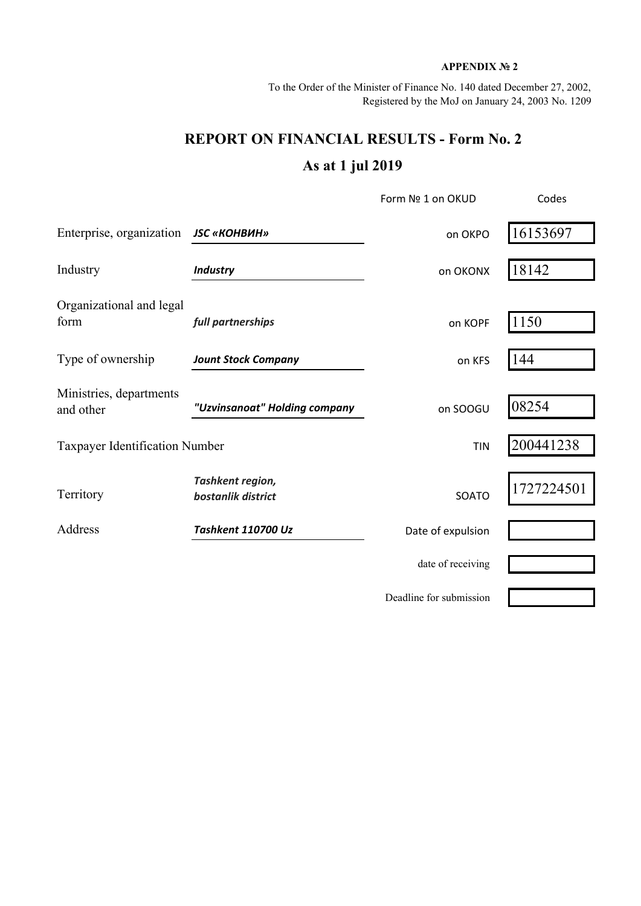## **APPENDIX № 2**

To the Order of the Minister of Finance No. 140 dated December 27, 2002, Registered by the MoJ on January 24, 2003 No. 1209

## **REPORT ON FINANCIAL RESULTS - Form No. 2 As at 1 jul 2019**

|                                       |                                        | Form Nº 1 on OKUD       | Codes      |  |
|---------------------------------------|----------------------------------------|-------------------------|------------|--|
| Enterprise, organization              | <b>JSC «КОНВИН»</b>                    | on OKPO                 | 16153697   |  |
| Industry                              | <b>Industry</b>                        | on OKONX                | 18142      |  |
| Organizational and legal<br>form      | full partnerships                      | on KOPF                 | 1150       |  |
| Type of ownership                     | <b>Jount Stock Company</b>             | on KFS                  | 144        |  |
| Ministries, departments<br>and other  | "Uzvinsanoat" Holding company          | on SOOGU                | 08254      |  |
| <b>Taxpayer Identification Number</b> |                                        | <b>TIN</b>              | 200441238  |  |
| Territory                             | Tashkent region,<br>bostanlik district | SOATO                   | 1727224501 |  |
| Address                               | Tashkent 110700 Uz                     | Date of expulsion       |            |  |
|                                       |                                        | date of receiving       |            |  |
|                                       |                                        | Deadline for submission |            |  |